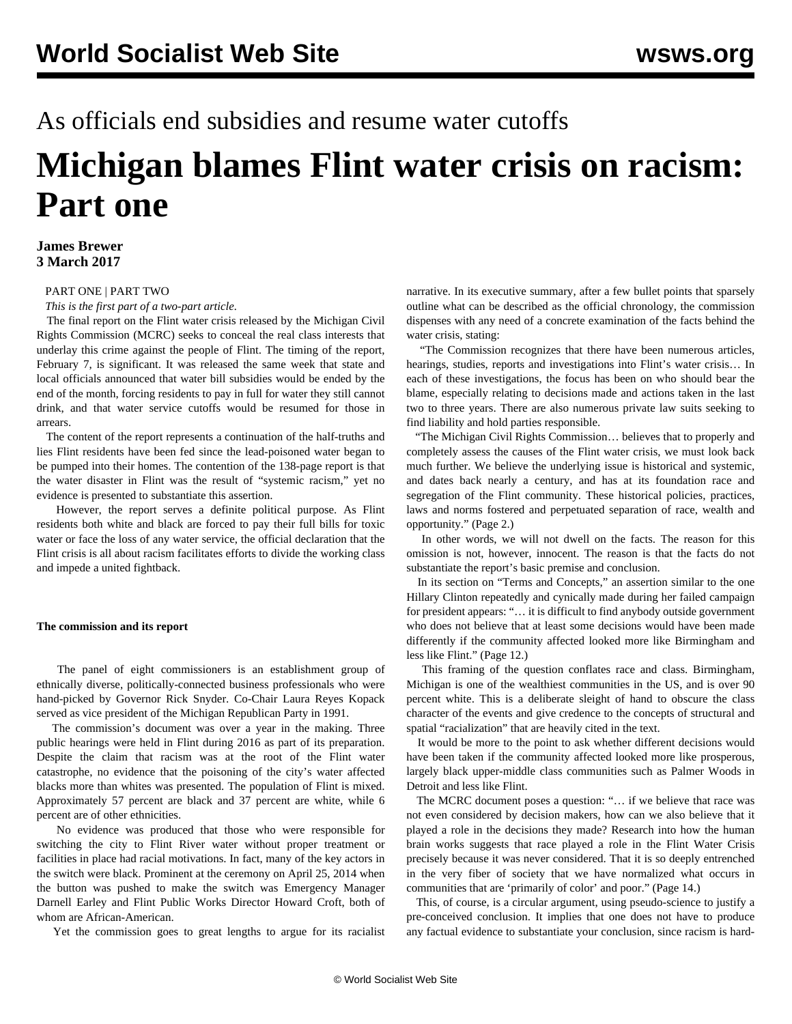# As officials end subsidies and resume water cutoffs

# **Michigan blames Flint water crisis on racism: Part one**

## **James Brewer 3 March 2017**

### [PART ONE](/en/articles/2017/03/03/flin-m03.html) | [PART TWO](/en/articles/2017/03/04/flin-m04.html)

*This is the first part of a two-part article.*

 The final report on the Flint water crisis released by the Michigan Civil Rights Commission (MCRC) seeks to conceal the real class interests that underlay this crime against the people of Flint. The timing of the report, February 7, is significant. It was released the same week that state and local officials announced that water bill subsidies would be ended by the end of the month, forcing residents to pay in full for water they still cannot drink, and that water service cutoffs would be resumed for those in arrears.

 The content of the report represents a continuation of the half-truths and lies Flint residents have been fed since the lead-poisoned water began to be pumped into their homes. The contention of the 138-page report is that the water disaster in Flint was the result of "systemic racism," yet no evidence is presented to substantiate this assertion.

 However, the report serves a definite political purpose. As Flint residents both white and black are forced to pay their full bills for toxic water or face the loss of any water service, the official declaration that the Flint crisis is all about racism facilitates efforts to divide the working class and impede a united fightback.

#### **The commission and its report**

 The panel of eight commissioners is an establishment group of ethnically diverse, politically-connected business professionals who were hand-picked by Governor Rick Snyder. Co-Chair Laura Reyes Kopack served as vice president of the Michigan Republican Party in 1991.

 The commission's document was over a year in the making. Three public hearings were held in Flint during 2016 as part of its preparation. Despite the claim that racism was at the root of the Flint water catastrophe, no evidence that the poisoning of the city's water affected blacks more than whites was presented. The population of Flint is mixed. Approximately 57 percent are black and 37 percent are white, while 6 percent are of other ethnicities.

 No evidence was produced that those who were responsible for switching the city to Flint River water without proper treatment or facilities in place had racial motivations. In fact, many of the key actors in the switch were black. Prominent at the ceremony on April 25, 2014 when the button was pushed to make the switch was Emergency Manager Darnell Earley and Flint Public Works Director Howard Croft, both of whom are African-American.

Yet the commission goes to great lengths to argue for its racialist

narrative. In its executive summary, after a few bullet points that sparsely outline what can be described as the official chronology, the commission dispenses with any need of a concrete examination of the facts behind the water crisis, stating:

 "The Commission recognizes that there have been numerous articles, hearings, studies, reports and investigations into Flint's water crisis… In each of these investigations, the focus has been on who should bear the blame, especially relating to decisions made and actions taken in the last two to three years. There are also numerous private law suits seeking to find liability and hold parties responsible.

 "The Michigan Civil Rights Commission… believes that to properly and completely assess the causes of the Flint water crisis, we must look back much further. We believe the underlying issue is historical and systemic, and dates back nearly a century, and has at its foundation race and segregation of the Flint community. These historical policies, practices, laws and norms fostered and perpetuated separation of race, wealth and opportunity." (Page 2.)

 In other words, we will not dwell on the facts. The reason for this omission is not, however, innocent. The reason is that the facts do not substantiate the report's basic premise and conclusion.

 In its section on "Terms and Concepts," an assertion similar to the one Hillary Clinton repeatedly and cynically made during her failed campaign for president appears: "… it is difficult to find anybody outside government who does not believe that at least some decisions would have been made differently if the community affected looked more like Birmingham and less like Flint." (Page 12.)

 This framing of the question conflates race and class. Birmingham, Michigan is one of the wealthiest communities in the US, and is over 90 percent white. This is a deliberate sleight of hand to obscure the class character of the events and give credence to the concepts of structural and spatial "racialization" that are heavily cited in the text.

 It would be more to the point to ask whether different decisions would have been taken if the community affected looked more like prosperous, largely black upper-middle class communities such as Palmer Woods in Detroit and less like Flint.

 The MCRC document poses a question: "… if we believe that race was not even considered by decision makers, how can we also believe that it played a role in the decisions they made? Research into how the human brain works suggests that race played a role in the Flint Water Crisis precisely because it was never considered. That it is so deeply entrenched in the very fiber of society that we have normalized what occurs in communities that are 'primarily of color' and poor." (Page 14.)

 This, of course, is a circular argument, using pseudo-science to justify a pre-conceived conclusion. It implies that one does not have to produce any factual evidence to substantiate your conclusion, since racism is hard-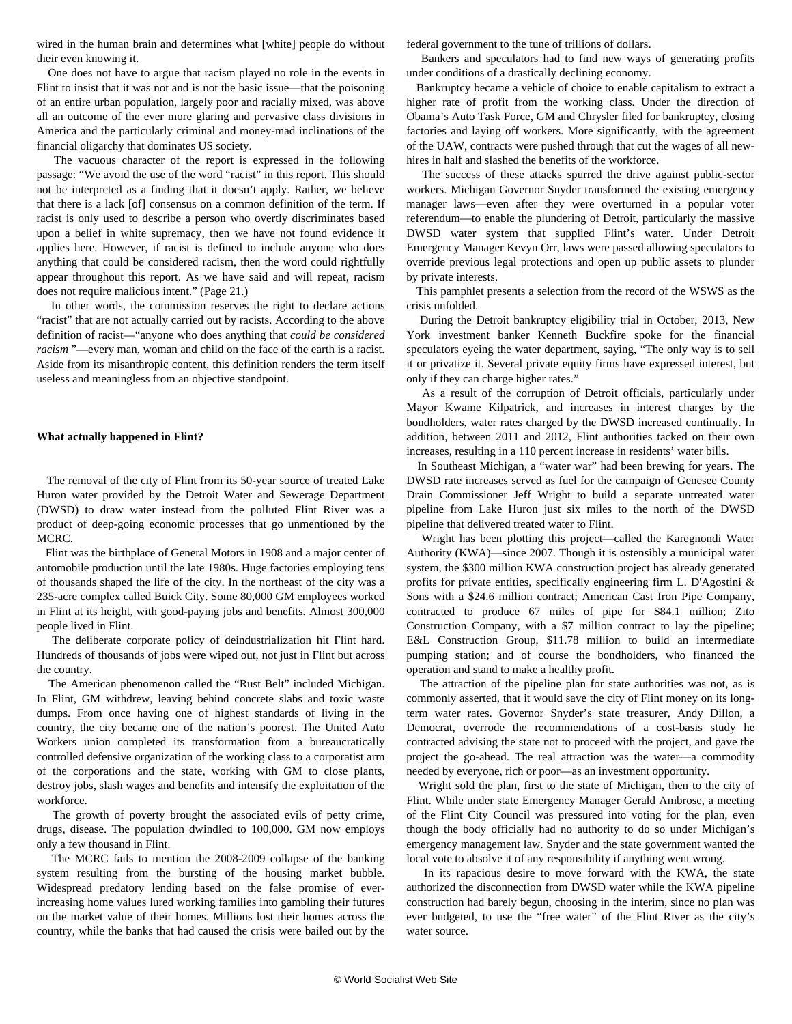wired in the human brain and determines what [white] people do without their even knowing it.

 One does not have to argue that racism played no role in the events in Flint to insist that it was not and is not the basic issue—that the poisoning of an entire urban population, largely poor and racially mixed, was above all an outcome of the ever more glaring and pervasive class divisions in America and the particularly criminal and money-mad inclinations of the financial oligarchy that dominates US society.

 The vacuous character of the report is expressed in the following passage: "We avoid the use of the word "racist" in this report. This should not be interpreted as a finding that it doesn't apply. Rather, we believe that there is a lack [of] consensus on a common definition of the term. If racist is only used to describe a person who overtly discriminates based upon a belief in white supremacy, then we have not found evidence it applies here. However, if racist is defined to include anyone who does anything that could be considered racism, then the word could rightfully appear throughout this report. As we have said and will repeat, racism does not require malicious intent." (Page 21.)

 In other words, the commission reserves the right to declare actions "racist" that are not actually carried out by racists. According to the above definition of racist—"anyone who does anything that *could be considered racism* "—every man, woman and child on the face of the earth is a racist. Aside from its misanthropic content, this definition renders the term itself useless and meaningless from an objective standpoint.

#### **What actually happened in Flint?**

 The removal of the city of Flint from its 50-year source of treated Lake Huron water provided by the Detroit Water and Sewerage Department (DWSD) to draw water instead from the polluted Flint River was a product of deep-going economic processes that go unmentioned by the MCRC.

 Flint was the birthplace of General Motors in 1908 and a major center of automobile production until the late 1980s. Huge factories employing tens of thousands shaped the life of the city. In the northeast of the city was a 235-acre complex called Buick City. Some 80,000 GM employees worked in Flint at its height, with good-paying jobs and benefits. Almost 300,000 people lived in Flint.

 The deliberate corporate policy of deindustrialization hit Flint hard. Hundreds of thousands of jobs were wiped out, not just in Flint but across the country.

 The American phenomenon called the "Rust Belt" included Michigan. In Flint, GM withdrew, leaving behind concrete slabs and toxic waste dumps. From once having one of highest standards of living in the country, the city became one of the nation's poorest. The United Auto Workers union completed its transformation from a bureaucratically controlled defensive organization of the working class to a corporatist arm of the corporations and the state, working with GM to close plants, destroy jobs, slash wages and benefits and intensify the exploitation of the workforce.

 The growth of poverty brought the associated evils of petty crime, drugs, disease. The population dwindled to 100,000. GM now employs only a few thousand in Flint.

 The MCRC fails to mention the 2008-2009 collapse of the banking system resulting from the bursting of the housing market bubble. Widespread predatory lending based on the false promise of everincreasing home values lured working families into gambling their futures on the market value of their homes. Millions lost their homes across the country, while the banks that had caused the crisis were bailed out by the

federal government to the tune of trillions of dollars.

 Bankers and speculators had to find new ways of generating profits under conditions of a drastically declining economy.

 Bankruptcy became a vehicle of choice to enable capitalism to extract a higher rate of profit from the working class. Under the direction of Obama's Auto Task Force, GM and Chrysler filed for bankruptcy, closing factories and laying off workers. More significantly, with the agreement of the UAW, contracts were pushed through that cut the wages of all newhires in half and slashed the benefits of the workforce.

 The success of these attacks spurred the drive against public-sector workers. Michigan Governor Snyder transformed the existing emergency manager laws—even after they were overturned in a popular voter referendum—to enable the plundering of Detroit, particularly the massive DWSD water system that supplied Flint's water. Under Detroit Emergency Manager Kevyn Orr, laws were passed allowing speculators to override previous legal protections and open up public assets to plunder by private interests.

 This pamphlet presents a selection from the record of the WSWS as the crisis unfolded.

 During the Detroit bankruptcy eligibility trial in October, 2013, New York investment banker Kenneth Buckfire spoke for the financial speculators eyeing the water department, saying, "The only way is to sell it or privatize it. Several private equity firms have expressed interest, but only if they can charge higher rates."

 As a result of the corruption of Detroit officials, particularly under Mayor Kwame Kilpatrick, and increases in interest charges by the bondholders, water rates charged by the DWSD increased continually. In addition, between 2011 and 2012, Flint authorities tacked on their own increases, resulting in a 110 percent increase in residents' water bills.

 In Southeast Michigan, a "water war" had been brewing for years. The DWSD rate increases served as fuel for the campaign of Genesee County Drain Commissioner Jeff Wright to build a separate untreated water pipeline from Lake Huron just six miles to the north of the DWSD pipeline that delivered treated water to Flint.

 Wright has been plotting this project—called the Karegnondi Water Authority (KWA)—since 2007. Though it is ostensibly a municipal water system, the \$300 million KWA construction project has already generated profits for private entities, specifically engineering firm L. D'Agostini & Sons with a \$24.6 million contract; American Cast Iron Pipe Company, contracted to produce 67 miles of pipe for \$84.1 million; Zito Construction Company, with a \$7 million contract to lay the pipeline; E&L Construction Group, \$11.78 million to build an intermediate pumping station; and of course the bondholders, who financed the operation and stand to make a healthy profit.

 The attraction of the pipeline plan for state authorities was not, as is commonly asserted, that it would save the city of Flint money on its longterm water rates. Governor Snyder's state treasurer, Andy Dillon, a Democrat, overrode the recommendations of a cost-basis study he contracted advising the state not to proceed with the project, and gave the project the go-ahead. The real attraction was the water—a commodity needed by everyone, rich or poor—as an investment opportunity.

 Wright sold the plan, first to the state of Michigan, then to the city of Flint. While under state Emergency Manager Gerald Ambrose, a meeting of the Flint City Council was pressured into voting for the plan, even though the body officially had no authority to do so under Michigan's emergency management law. Snyder and the state government wanted the local vote to absolve it of any responsibility if anything went wrong.

 In its rapacious desire to move forward with the KWA, the state authorized the disconnection from DWSD water while the KWA pipeline construction had barely begun, choosing in the interim, since no plan was ever budgeted, to use the "free water" of the Flint River as the city's water source.